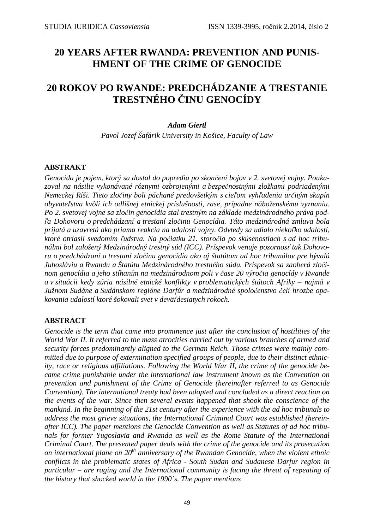# **20 YEARS AFTER RWANDA: PREVENTION AND PUNIS-HMENT OF THE CRIME OF GENOCIDE**

## **20 ROKOV PO RWANDE: PREDCHÁDZANIE A TRESTANIE TRESTNÉHO ČINU GENOCÍDY**

## *Adam Giertl*

*Pavol Jozef Šafárik University in Košice, Faculty of Law* 

## **ABSTRAKT**

*Genocída je pojem, ktorý sa dostal do popredia po skončení bojov v 2. svetovej vojny. Poukazoval na násilie vykonávané rôznymi ozbrojenými a bezpečnostnými zložkami podriadenými Nemeckej Ríši. Tieto zločiny boli páchané predovšetkým s cieľom vyhľadenia určitým skupín obyvateľstva kvôli ich odlišnej etnickej príslušnosti, rase, prípadne náboženskému vyznaniu. Po 2. svetovej vojne sa zločin genocídia stal trestným na základe medzinárodného práva podľa Dohovoru o predchádzaní a trestaní zločinu Genocídia. Táto medzinárodná zmluva bola prijatá a uzavretá ako priama reakcia na udalosti vojny. Odvtedy sa udialo niekoľko udalostí, ktoré otriasli svedomím ľudstva. Na počiatku 21. storočia po skúsenostiach s ad hoc tribunálmi bol založený Medzinárodný trestný súd (ICC). Príspevok venuje pozornosť tak Dohovoru o predchádzaní a trestaní zločinu genocídia ako aj štatútom ad hoc tribunálov pre bývalú Juhosláviu a Rwandu a Štatútu Medzinárodného trestného súdu. Príspevok sa zaoberá zločinom genocídia a jeho stíhaním na medzinárodnom poli v čase 20 výročia genocídy v Rwande a v situácii kedy zúria násilné etnické konflikty v problematických štátoch Afriky – najmä v Južnom Sudáne a Sudánskom regióne Darfúr a medzinárodné spoločenstvo čelí hrozbe opakovania udalostí ktoré šokovali svet v deväťdesiatych rokoch.* 

## **ABSTRACT**

*Genocide is the term that came into prominence just after the conclusion of hostilities of the World War II. It referred to the mass atrocities carried out by various branches of armed and security forces predominantly aligned to the German Reich. Those crimes were mainly committed due to purpose of extermination specified groups of people, due to their distinct ethnicity, race or religious affiliations. Following the World War II, the crime of the genocide became crime punishable under the international law instrument known as the Convention on prevention and punishment of the Crime of Genocide (hereinafter referred to as Genocide Convention). The international treaty had been adopted and concluded as a direct reaction on the events of the war. Since then several events happened that shook the conscience of the mankind. In the beginning of the 21st century after the experience with the ad hoc tribunals to address the most grieve situations, the International Criminal Court was established (hereinafter ICC). The paper mentions the Genocide Convention as well as Statutes of ad hoc tribunals for former Yugoslavia and Rwanda as well as the Rome Statute of the International Criminal Court. The presented paper deals with the crime of the genocide and its prosecution on international plane on 20th anniversary of the Rwandan Genocide, when the violent ethnic conflicts in the problematic states of Africa - South Sudan and Sudanese Darfur region in particular – are raging and the International community is facing the threat of repeating of the history that shocked world in the 1990´s. The paper mentions*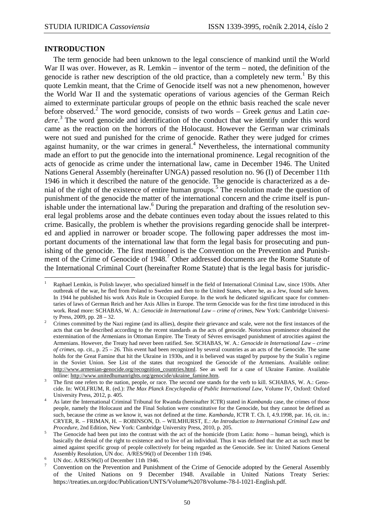#### **INTRODUCTION**

 $\overline{a}$ 

The term genocide had been unknown to the legal conscience of mankind until the World War II was over. However, as R. Lemkin – inventor of the term – noted, the definition of the genocide is rather new description of the old practice, than a completely new term.<sup>1</sup> By this quote Lemkin meant, that the Crime of Genocide itself was not a new phenomenon, however the World War II and the systematic operations of various agencies of the German Reich aimed to exterminate particular groups of people on the ethnic basis reached the scale never before observed.<sup>2</sup> The word genocide, consists of two words – Greek *genus* and Latin *caedere*. 3 The word genocide and identification of the conduct that we identify under this word came as the reaction on the horrors of the Holocaust. However the German war criminals were not sued and punished for the crime of genocide. Rather they were judged for crimes against humanity, or the war crimes in general.<sup>4</sup> Nevertheless, the international community made an effort to put the genocide into the international prominence. Legal recognition of the acts of genocide as crime under the international law, came in December 1946. The United Nations General Assembly (hereinafter UNGA) passed resolution no. 96 (I) of December 11th 1946 in which it described the nature of the genocide. The genocide is characterized as a denial of the right of the existence of entire human groups.<sup>5</sup> The resolution made the question of punishment of the genocide the matter of the international concern and the crime itself is punishable under the international law.<sup>6</sup> During the preparation and drafting of the resolution several legal problems arose and the debate continues even today about the issues related to this crime. Basically, the problem is whether the provisions regarding genocide shall be interpreted and applied in narrower or broader scope. The following paper addresses the most important documents of the international law that form the legal basis for prosecuting and punishing of the genocide. The first mentioned is the Convention on the Prevention and Punishment of the Crime of Genocide of 1948.<sup>7</sup> Other addressed documents are the Rome Statute of the International Criminal Court (hereinafter Rome Statute) that is the legal basis for jurisdic-

<sup>1</sup> Raphael Lemkin, is Polish lawyer, who specialized himself in the field of International Criminal Law, since 1930s. After outbreak of the war, he fled from Poland to Sweden and then to the United States, where he, as a Jew, found safe haven. In 1944 he published his work Axis Rule in Occupied Europe. In the work he dedicated significant space for commentaries of laws of German Reich and her Axis Allies in Europe. The term Genocide was for the first time introduced in this work. Read more: SCHABAS, W. A.: *Genocide in International Law – crime of crimes*, New York: Cambridge University Press, 2009, pp. 28 – 32.

<sup>2</sup> Crimes committed by the Nazi regime (and its allies), despite their grievance and scale, were not the first instances of the acts that can be described according to the recent standards as the acts of genocide. Notorious prominence obtained the extermination of the Armenians in Ottoman Empire. The Treaty of Sévres envisaged punishment of atrocities against the Armenians. However, the Treaty had never been ratified. See. SCHABAS, W. A.: *Genocide in International Law – crime of crimes*, op. cit., p. 25 – 26. This event had been recognized by several countries as an acts of the Genocide. The same holds for the Great Famine that hit the Ukraine in 1930s, and it is believed was staged by purpose by the Stalin´s regime in the Soviet Union. See List of the states that recognized the Genocide of the Armenians. Available online: http://www.armenian-genocide.org/recognition\_countries.html. See as well for a case of Ukraine Famine. Available online: http://www.unitedhumanrights.org/genocide/ukraine\_famine.htm.

<sup>3</sup> The first one refers to the nation, people, or race. The second one stands for the verb to kill. SCHABAS, W. A.: Genocide. In: WOLFRUM, R. (ed.): *The Max Planck Encyclopedia of Public International Law*, Volume IV, Oxford: Oxford University Press, 2012, p. 405.

<sup>4</sup> As later the International Criminal Tribunal for Rwanda (hereinafter ICTR) stated in *Kambanda* case, the crimes of those people, namely the Holocaust and the Final Solution were constitutive for the Genocide, but they cannot be defined as such, because the crime as we know it, was not defined at the time. *Kambanda*, ICTR T. Ch. I, 4.9.1998, par. 16, cit. in.: CRYER, R. – FRIMAN, H. – ROBINSON, D. – WILMHURST, E.: *An Introduction to International Criminal Law and Procedure*, 2nd Edition, New York: Cambridge University Press, 2010, p. 205.

<sup>5</sup> The Genocide had been put into the contrast with the act of the homicide (from Latin: *homo* – human being), which is basically the denial of the right to existence and to live of an individual. Thus it was defined that the act as such must be aimed against specific group of people collectively for being regarded as the Genocide. See in: United Nations General Assembly Resolution, UN doc. A/RES/96(I) of December 11th 1946.

<sup>6</sup> UN doc. A/RES/96(I) of December 11th 1946.

<sup>7</sup> Convention on the Prevention and Punishment of the Crime of Genocide adopted by the General Assembly of the United Nations on 9 December 1948. Available in United Nations Treaty Series: https://treaties.un.org/doc/Publication/UNTS/Volume%2078/volume-78-I-1021-English.pdf.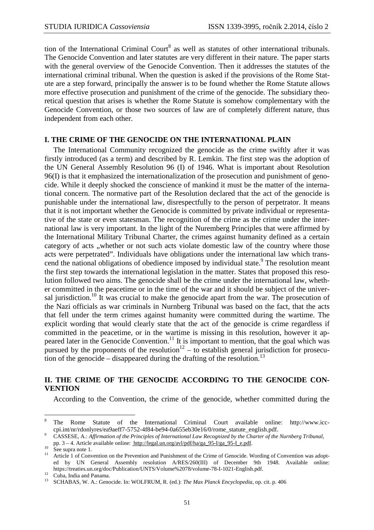tion of the International Criminal Court<sup>8</sup> as well as statutes of other international tribunals. The Genocide Convention and later statutes are very different in their nature. The paper starts with the general overview of the Genocide Convention. Then it addresses the statutes of the international criminal tribunal. When the question is asked if the provisions of the Rome Statute are a step forward, principally the answer is to be found whether the Rome Statute allows more effective prosecution and punishment of the crime of the genocide. The subsidiary theoretical question that arises is whether the Rome Statute is somehow complementary with the Genocide Convention, or those two sources of law are of completely different nature, thus independent from each other.

#### **I. THE CRIME OF THE GENOCIDE ON THE INTERNATIONAL PLAIN**

The International Community recognized the genocide as the crime swiftly after it was firstly introduced (as a term) and described by R. Lemkin. The first step was the adoption of the UN General Assembly Resolution 96 (I) of 1946. What is important about Resolution 96(I) is that it emphasized the internationalization of the prosecution and punishment of genocide. While it deeply shocked the conscience of mankind it must be the matter of the international concern. The normative part of the Resolution declared that the act of the genocide is punishable under the international law, disrespectfully to the person of perpetrator. It means that it is not important whether the Genocide is committed by private individual or representative of the state or even statesman. The recognition of the crime as the crime under the international law is very important. In the light of the Nuremberg Principles that were affirmed by the International Military Tribunal Charter, the crimes against humanity defined as a certain category of acts "whether or not such acts violate domestic law of the country where those acts were perpetrated". Individuals have obligations under the international law which transcend the national obligations of obedience imposed by individual state.<sup>9</sup> The resolution meant the first step towards the international legislation in the matter. States that proposed this resolution followed two aims. The genocide shall be the crime under the international law, whether committed in the peacetime or in the time of the war and it should be subject of the universal jurisdiction.<sup>10</sup> It was crucial to make the genocide apart from the war. The prosecution of the Nazi officials as war criminals in Nurnberg Tribunal was based on the fact, that the acts that fell under the term crimes against humanity were committed during the wartime. The explicit wording that would clearly state that the act of the genocide is crime regardless if committed in the peacetime, or in the wartime is missing in this resolution, however it appeared later in the Genocide Convention.<sup>11</sup> It is important to mention, that the goal which was pursued by the proponents of the resolution<sup>12</sup> – to establish general jurisdiction for prosecution of the genocide – disappeared during the drafting of the resolution.<sup>13</sup>

## **II. THE CRIME OF THE GENOCIDE ACCORDING TO THE GENOCIDE CON-VENTION**

According to the Convention, the crime of the genocide, whether committed during the

 8 The Rome Statute of the International Criminal Court available online: http://www.icccpi.int/nr/rdonlyres/ea9aeff7-5752-4f84-be94-0a655eb30e16/0/rome\_statute\_english.pdf.

<sup>9</sup> CASSESE, A.: *Affirmation of the Principles of International Law Recognized by the Charter of the Nurnberg Tribunal*,

pp. 3 – 4. Article available online: http://legal.un.org/avl/pdf/ha/ga\_95-I/ga\_95-I\_e.pdf.

 $^{10}$  See supra note 1.

Article 1 of Convention on the Prevention and Punishment of the Crime of Genocide. Wording of Convention was adopted by UN General Assembly resolution A/RES/260(III) of December 9th 1948. Available online: https://treaties.un.org/doc/Publication/UNTS/Volume%2078/volume-78-I-1021-English.pdf.

 $12$  Cuba, India and Panama.

<sup>13</sup> SCHABAS, W. A.: Genocide. In: WOLFRUM, R. (ed.): *The Max Planck Encyclopedia*, op. cit. p. 406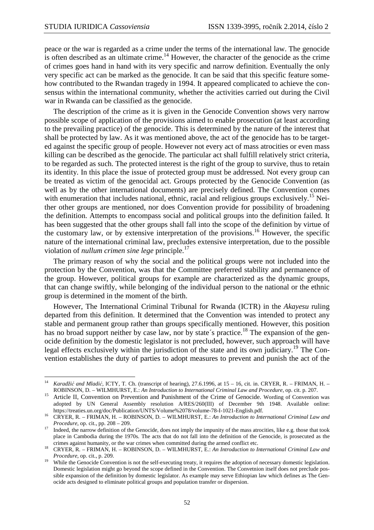$\overline{a}$ 

peace or the war is regarded as a crime under the terms of the international law. The genocide is often described as an ultimate crime.<sup>14</sup> However, the character of the genocide as the crime of crimes goes hand in hand with its very specific and narrow definition. Eventually the only very specific act can be marked as the genocide. It can be said that this specific feature somehow contributed to the Rwandan tragedy in 1994. It appeared complicated to achieve the consensus within the international community, whether the activities carried out during the Civil war in Rwanda can be classified as the genocide.

The description of the crime as it is given in the Genocide Convention shows very narrow possible scope of application of the provisions aimed to enable prosecution (at least according to the prevailing practice) of the genocide. This is determined by the nature of the interest that shall be protected by law. As it was mentioned above, the act of the genocide has to be targeted against the specific group of people. However not every act of mass atrocities or even mass killing can be described as the genocide. The particular act shall fulfill relatively strict criteria, to be regarded as such. The protected interest is the right of the group to survive, thus to retain its identity. In this place the issue of protected group must be addressed. Not every group can be treated as victim of the genocidal act. Groups protected by the Genocide Convention (as well as by the other international documents) are precisely defined. The Convention comes with enumeration that includes national, ethnic, racial and religious groups exclusively.<sup>15</sup> Neither other groups are mentioned, nor does Convention provide for possibility of broadening the definition. Attempts to encompass social and political groups into the definition failed. It has been suggested that the other groups shall fall into the scope of the definition by virtue of the customary law, or by extensive interpretation of the provisions.<sup>16</sup> However, the specific nature of the international criminal law, precludes extensive interpretation, due to the possible violation of *nullum crimen sine lege* principle.<sup>17</sup>

The primary reason of why the social and the political groups were not included into the protection by the Convention, was that the Committee preferred stability and permanence of the group. However, political groups for example are characterized as the dynamic groups, that can change swiftly, while belonging of the individual person to the national or the ethnic group is determined in the moment of the birth.

However, The International Criminal Tribunal for Rwanda (ICTR) in the *Akayesu* ruling departed from this definition. It determined that the Convention was intended to protect any stable and permanent group rather than groups specifically mentioned. However, this position has no broad support neither by case law, nor by state's practice.<sup>18</sup> The expansion of the genocide definition by the domestic legislator is not precluded, however, such approach will have legal effects exclusively within the jurisdiction of the state and its own judiciary.<sup>19</sup> The Convention establishes the duty of parties to adopt measures to prevent and punish the act of the

<sup>14</sup> *Karadžić and Mladić*, ICTY, T. Ch. (transcript of hearing), 27.6.1996, at 15 – 16, cit. in. CRYER, R. – FRIMAN, H. – ROBINSON, D. – WILMHURST, E.: *An Introduction to International Criminal Law and Procedure*, op. cit. p. 207.

<sup>&</sup>lt;sup>15</sup> Article II, Convention on Prevention and Punishment of the Crime of Genocide. Wording of Convention was adopted by UN General Assembly resolution A/RES/260(III) of December 9th 1948. Available online: https://treaties.un.org/doc/Publication/UNTS/Volume%2078/volume-78-I-1021-English.pdf.

<sup>16</sup> CRYER, R. – FRIMAN, H. – ROBINSON, D. – WILMHURST, E.: *An Introduction to International Criminal Law and Procedure*, op. cit., pp. 208 – 209.

<sup>&</sup>lt;sup>17</sup> Indeed, the narrow definition of the Genocide, does not imply the impunity of the mass atrocities, like e.g. those that took place in Cambodia during the 1970s. The acts that do not fall into the definition of the Genocide, is prosecuted as the crimes against humanity, or the war crimes when committed during the armed conflict etc.

<sup>18</sup> CRYER, R. – FRIMAN, H. – ROBINSON, D. – WILMHURST, E.: *An Introduction to International Criminal Law and Procedure*, op. cit., p. 209.

<sup>&</sup>lt;sup>19</sup> While the Genocide Convention is not the self-executing treaty, it requires the adoption of necessary domestic legislation. Domestic legislation might go beyond the scope defined in the Convention. The Convetnion itself does not preclude possible expansion of the definition by domestic legislator. As example may serve Ethiopian law which defines as The Genocide acts designed to eliminate political groups and population transfer or dispersion.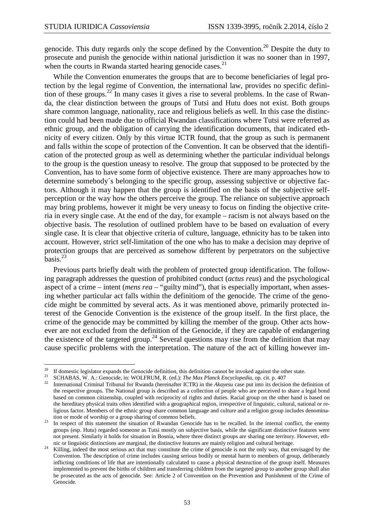$\overline{a}$ 

genocide. This duty regards only the scope defined by the Convention.<sup>20</sup> Despite the duty to prosecute and punish the genocide within national jurisdiction it was no sooner than in 1997, when the courts in Rwanda started hearing genocide cases. $^{21}$ 

While the Convention enumerates the groups that are to become beneficiaries of legal protection by the legal regime of Convention, the international law, provides no specific definition of these groups.<sup>22</sup> In many cases it gives a rise to several problems. In the case of Rwanda, the clear distinction between the groups of Tutsi and Hutu does not exist. Both groups share common language, nationality, race and religious beliefs as well. In this case the distinction could had been made due to official Rwandan classifications where Tutsi were referred as ethnic group, and the obligation of carrying the identification documents, that indicated ethnicity of every citizen. Only by this virtue ICTR found, that the group as such is permanent and falls within the scope of protection of the Convention. It can be observed that the identification of the protected group as well as determining whether the particular individual belongs to the group is the question uneasy to resolve. The group that supposed to be protected by the Convention, has to have some form of objective existence. There are many approaches how to determine somebody´s belonging to the specific group, assessing subjective or objective factors. Although it may happen that the group is identified on the basis of the subjective selfperception or the way how the others perceive the group. The reliance on subjective approach may bring problems, however it might be very uneasy to focus on finding the objective criteria in every single case. At the end of the day, for example – racism is not always based on the objective basis. The resolution of outlined problem have to be based on evaluation of every single case. It is clear that objective criteria of culture, language, ethnicity has to be taken into account. However, strict self-limitation of the one who has to make a decision may deprive of protection groups that are perceived as somehow different by perpetrators on the subjective  $hasis.<sup>23</sup>$ 

Previous parts briefly dealt with the problem of protected group identification. The following paragraph addresses the question of prohibited conduct (*actus reus*) and the psychological aspect of a crime – intent (*mens rea* – "guilty mind"), that is especially important, when assesing whether particular act falls within the definitiom of the genocide. The crime of the genocide might be committed by several acts. As it was mentioned above, primarily protected interest of the Genocide Convention is the existence of the group itself. In the first place, the crime of the genocide may be committed by killing the member of the group. Other acts however are not excluded from the definition of the Genocide, if they are capable of endangering the existence of the targeted group.<sup>24</sup> Several questions may rise from the definition that may cause specific problems with the interpretation. The nature of the act of killing however im-

<sup>&</sup>lt;sup>20</sup> If domestic legislator expands the Genocide definition, this definition cannot be invoked against the other state.

<sup>21</sup> SCHABAS, W. A.: Genocide, in: WOLFRUM, R. (ed.): *The Max Planck Encyclopedia*, op. cit. p. 407

<sup>22</sup> International Criminal Tribunal for Rwanda (hereinafter ICTR) in the *Akayesu* case put into its decision the definition of the respective groups. The National group is described as a collection of people who are perceived to share a legal bond based on common citizenship, coupled with reciprocity of rights and duties. Racial group on the other hand is based on the hereditary physical traits often identified with a geographical region, irrespective of linguistic, cultural, national or religious factor. Members of the ethnic group share common language and culture and a religion group includes denomination or mode of worship or a group sharing of common beliefs.

<sup>&</sup>lt;sup>23</sup> In respect of this statement the situation of Rwandan Genocide has to be recalled. In the internal conflict, the enemy groups (esp. Hutu) regarded someone as Tutsi mostly on subjective basis, while the significant distinctive features were not present. Similarly it holds for situation in Bosnia, where three distinct groups are sharing one territory. However, ethnic or linguistic distinctions are marginal, the distinctive features are mainly religion and cultural heritage.

<sup>24</sup> Killing, indeed the most serious act that may constitute the crime of genocide is not the only way, that envisaged by the Convention. The description of crime includes causing serious bodily or mental harm to members of group, deliberately inflicting conditions of life that are intentionally calculated to cause a physical destruction of the group itself. Measures implemented to prevent the births of children and transferring children from the targeted group to another group shall also be prosecuted as the acts of genocide. See: Article 2 of Convention on the Prevention and Punishment of the Crime of Genocide.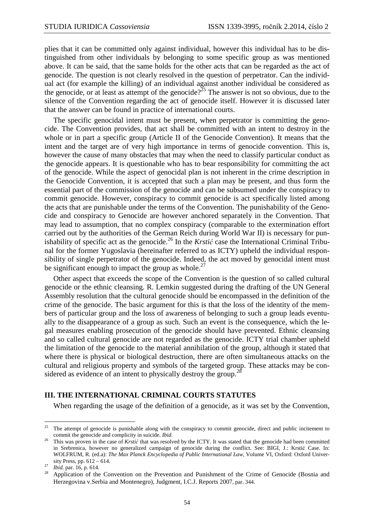plies that it can be committed only against individual, however this individual has to be distinguished from other individuals by belonging to some specific group as was mentioned above. It can be said, that the same holds for the other acts that can be regarded as the act of genocide. The question is not clearly resolved in the question of perpetrator. Can the individual act (for example the killing) of an individual against another individual be considered as the genocide, or at least as attempt of the genocide?<sup>25</sup> The answer is not so obvious, due to the silence of the Convention regarding the act of genocide itself. However it is discussed later that the answer can be found in practice of international courts.

The specific genocidal intent must be present, when perpetrator is committing the genocide. The Convention provides, that act shall be committed with an intent to destroy in the whole or in part a specific group (Article II of the Genocide Convention). It means that the intent and the target are of very high importance in terms of genocide convention. This is, however the cause of many obstacles that may when the need to classify particular conduct as the genocide appears. It is questionable who has to bear responsibility for committing the act of the genocide. While the aspect of genocidal plan is not inherent in the crime description in the Genocide Convention, it is accepted that such a plan may be present, and thus form the essential part of the commission of the genocide and can be subsumed under the conspiracy to commit genocide. However, conspiracy to commit genocide is act specifically listed among the acts that are punishable under the terms of the Convention. The punishability of the Genocide and conspiracy to Genocide are however anchored separately in the Convention. That may lead to assumption, that no complex conspiracy (comparable to the extermination effort carried out by the authorities of the German Reich during World War II) is necessary for punishability of specific act as the genocide.<sup>26</sup> In the *Krstić* case the International Criminal Tribunal for the former Yugoslavia (hereinafter referred to as ICTY) upheld the individual responsibility of single perpetrator of the genocide. Indeed, the act moved by genocidal intent must be significant enough to impact the group as whole.<sup>27</sup>

Other aspect that exceeds the scope of the Convention is the question of so called cultural genocide or the ethnic cleansing. R. Lemkin suggested during the drafting of the UN General Assembly resolution that the cultural genocide should be encompassed in the definition of the crime of the genocide. The basic argument for this is that the loss of the identity of the members of particular group and the loss of awareness of belonging to such a group leads eventually to the disappearance of a group as such. Such an event is the consequence, which the legal measures enabling prosecution of the genocide should have prevented. Ethnic cleansing and so called cultural genocide are not regarded as the genocide. ICTY trial chamber upheld the limitation of the genocide to the material annihilation of the group, although it stated that where there is physical or biological destruction, there are often simultaneous attacks on the cultural and religious property and symbols of the targeted group. These attacks may be considered as evidence of an intent to physically destroy the group.<sup>27</sup>

#### **III. THE INTERNATIONAL CRIMINAL COURTS STATUTES**

When regarding the usage of the definition of a genocide, as it was set by the Convention,

<sup>25</sup> <sup>25</sup> The attempt of genocide is punishable along with the conspiracy to commit genocide, direct and public incitement to commit the genocide and complicity in suicide. *Ibid*.

<sup>&</sup>lt;sup>26</sup> This was proven in the case of *Krstić* that was resolved by the ICTY. It was stated that the genocide had been committed in Srebrenica, however no generalized campaign of genocide during the conflict. See: BIGI, J.: Krstić Case. In: WOLFRUM, R. (ed.a): *The Max Planck Encyclopedia of Public International Law*, Volume VI, Oxford: Oxford University Press, pp. 612 – 614.

<sup>27</sup> *Ibid*. par. 16, p. 614.

<sup>28</sup> Application of the Convention on the Prevention and Punishment of the Crime of Genocide (Bosnia and Herzegovina v.Serbia and Montenegro), Judgment, I.C.J. Reports 2007, par. 344.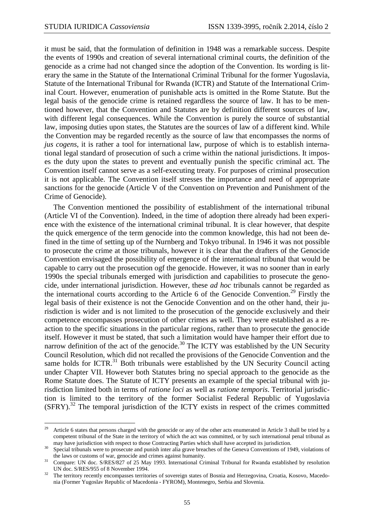it must be said, that the formulation of definition in 1948 was a remarkable success. Despite the events of 1990s and creation of several international criminal courts, the definition of the genocide as a crime had not changed since the adoption of the Convention. Its wording is literary the same in the Statute of the International Criminal Tribunal for the former Yugoslavia, Statute of the International Tribunal for Rwanda (ICTR) and Statute of the International Criminal Court. However, enumeration of punishable acts is omitted in the Rome Statute. But the legal basis of the genocide crime is retained regardless the source of law. It has to be mentioned however, that the Convention and Statutes are by definition different sources of law, with different legal consequences. While the Convention is purely the source of substantial law, imposing duties upon states, the Statutes are the sources of law of a different kind. While the Convention may be regarded recently as the source of law that encompasses the norms of *jus cogens*, it is rather a tool for international law, purpose of which is to establish international legal standard of prosecution of such a crime within the national jurisdictions. It imposes the duty upon the states to prevent and eventually punish the specific criminal act. The Convention itself cannot serve as a self-executing treaty. For purposes of criminal prosecution it is not applicable. The Convention itself stresses the importance and need of appropriate sanctions for the genocide (Article V of the Convention on Prevention and Punishment of the Crime of Genocide).

The Convention mentioned the possibility of establishment of the international tribunal (Article VI of the Convention). Indeed, in the time of adoption there already had been experience with the existence of the international criminal tribunal. It is clear however, that despite the quick emergence of the term genocide into the common knowledge, this had not been defined in the time of setting up of the Nurnberg and Tokyo tribunal. In 1946 it was not possible to prosecute the crime at those tribunals, however it is clear that the drafters of the Genocide Convention envisaged the possibility of emergence of the international tribunal that would be capable to carry out the prosecution ogf the genocide. However, it was no sooner than in early 1990s the special tribunals emerged with jurisdiction and capabilities to prosecute the genocide, under international jurisdiction. However, these *ad hoc* tribunals cannot be regarded as the international courts according to the Article 6 of the Genocide Convention.<sup>29</sup> Firstly the legal basis of their existence is not the Genocide Convention and on the other hand, their jurisdiction is wider and is not limited to the prosecution of the genocide exclusively and their competence encompasses prosecution of other crimes as well. They were established as a reaction to the specific situations in the particular regions, rather than to prosecute the genocide itself. However it must be stated, that such a limitation would have hamper their effort due to narrow definition of the act of the genocide.<sup>30</sup> The ICTY was established by the UN Security Council Resolution, which did not recalled the provisions of the Genocide Convention and the same holds for ICTR. $31$  Both tribunals were established by the UN Security Council acting under Chapter VII. However both Statutes bring no special approach to the genocide as the Rome Statute does. The Statute of ICTY presents an example of the special tribunal with jurisdiction limited both in terms of *ratione loci* as well as *ratione temporis*. Territorial jurisdiction is limited to the territory of the former Socialist Federal Republic of Yugoslavia (SFRY).<sup>32</sup> The temporal jurisdiction of the ICTY exists in respect of the crimes committed

<sup>29</sup> Article 6 states that persons charged with the genocide or any of the other acts enumerated in Article 3 shall be tried by a competent tribunal of the State in the territory of which the act was committed, or by such international penal tribunal as may have jurisdiction with respect to those Contracting Parties which shall have accepted its jurisdiction.

<sup>30</sup> Special tribunals were to prosecute and punish inter alia grave breaches of the Geneva Conventions of 1949, violations of the laws or customs of war, genocide and crimes against humanity.

<sup>&</sup>lt;sup>31</sup> Compare: UN doc. S/RES/827 of 25 May 1993. International Criminal Tribunal for Rwanda established by resolution UN doc. S/RES/955 of 8 November 1994.

<sup>32</sup> The territory recently encompasses territories of sovereign states of Bosnia and Herzegovina, Croatia, Kosovo, Macedonia (Former Yugoslav Republic of Macedonia - FYROM), Montenegro, Serbia and Slovenia.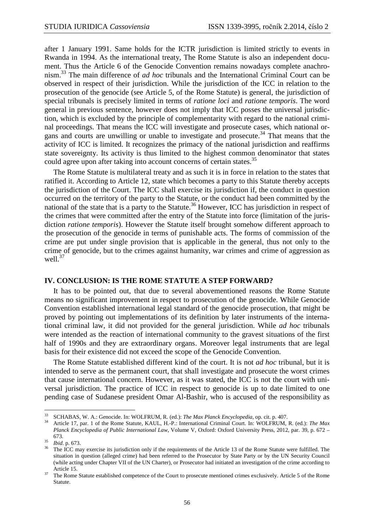after 1 January 1991. Same holds for the ICTR jurisdiction is limited strictly to events in Rwanda in 1994. As the international treaty, The Rome Statute is also an independent document. Thus the Article 6 of the Genocide Convention remains nowadays complete anachronism.<sup>33</sup> The main difference of *ad hoc* tribunals and the International Criminal Court can be observed in respect of their jurisdiction. While the jurisdiction of the ICC in relation to the prosecution of the genocide (see Article 5, of the Rome Statute) is general, the jurisdiction of special tribunals is precisely limited in terms of *ratione loci* and *ratione temporis*. The word general in previous sentence, however does not imply that ICC posses the universal jurisdiction, which is excluded by the principle of complementarity with regard to the national criminal proceedings. That means the ICC will investigate and prosecute cases, which national organs and courts are unwilling or unable to investigate and prosecute.<sup>34</sup> That means that the activity of ICC is limited. It recognizes the primacy of the national jurisdiction and reaffirms state sovereignty. Its activity is thus limited to the highest common denominator that states could agree upon after taking into account concerns of certain states.<sup>35</sup>

The Rome Statute is multilateral treaty and as such it is in force in relation to the states that ratified it. According to Article 12, state which becomes a party to this Statute thereby accepts the jurisdiction of the Court. The ICC shall exercise its jurisdiction if, the conduct in question occurred on the territory of the party to the Statute, or the conduct had been committed by the national of the state that is a party to the Statute.<sup>36</sup> However, ICC has jurisdiction in respect of the crimes that were committed after the entry of the Statute into force (limitation of the jurisdiction *ratione temporis*). However the Statute itself brought somehow different approach to the prosecution of the genocide in terms of punishable acts. The forms of commission of the crime are put under single provision that is applicable in the general, thus not only to the crime of genocide, but to the crimes against humanity, war crimes and crime of aggression as well. $37$ 

#### **IV. CONCLUSION: IS THE ROME STATUTE A STEP FORWARD?**

It has to be pointed out, that due to several abovementioned reasons the Rome Statute means no significant improvement in respect to prosecution of the genocide. While Genocide Convention established international legal standard of the genocide prosecution, that might be proved by pointing out implementations of its definition by later instruments of the international criminal law, it did not provided for the general jurisdiction. While *ad hoc* tribunals were intended as the reaction of international community to the gravest situations of the first half of 1990s and they are extraordinary organs. Moreover legal instruments that are legal basis for their existence did not exceed the scope of the Genocide Convention.

The Rome Statute established different kind of the court. It is not *ad hoc* tribunal, but it is intended to serve as the permanent court, that shall investigate and prosecute the worst crimes that cause international concern. However, as it was stated, the ICC is not the court with universal jurisdiction. The practice of ICC in respect to genocide is up to date limited to one pending case of Sudanese president Omar Al-Bashir, who is accused of the responsibility as

<sup>33</sup> <sup>33</sup> SCHABAS, W. A.: Genocide. In: WOLFRUM, R. (ed.): *The Max Planck Encyclopedia*, op. cit. p. 407.

<sup>34</sup> Article 17, par. 1 of the Rome Statute, KAUL, H.-P.: International Criminal Court. In: WOLFRUM, R. (ed.): *The Max Planck Encyclopedia of Public International Law*, Volume V, Oxford: Oxford University Press, 2012, par. 39, p. 672 – 673.

<sup>35</sup>  $\frac{35}{36}$  *Ibid.* p. 673.

<sup>36</sup> The ICC may exercise its jurisdiction only if the requirements of the Article 13 of the Rome Statute were fulfilled. The situation in question (alleged crime) had been referred to the Prosecutor by State Party or by the UN Security Council (while acting under Chapter VII of the UN Charter), or Prosecutor had initiated an investigation of the crime according to Article 15.

<sup>&</sup>lt;sup>37</sup> The Rome Statute established competence of the Court to prosecute mentioned crimes exclusively. Article 5 of the Rome Statute.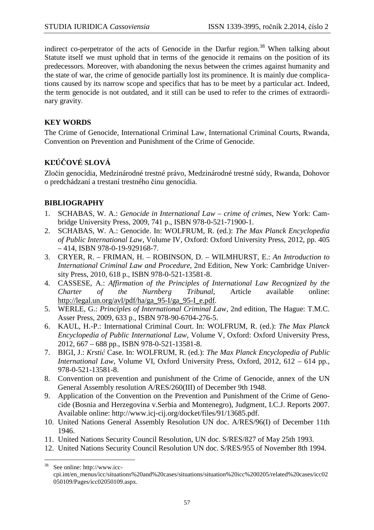indirect co-perpetrator of the acts of Genocide in the Darfur region.<sup>38</sup> When talking about Statute itself we must uphold that in terms of the genocide it remains on the position of its predecessors. Moreover, with abandoning the nexus between the crimes against humanity and the state of war, the crime of genocide partially lost its prominence. It is mainly due complications caused by its narrow scope and specifics that has to be meet by a particular act. Indeed, the term genocide is not outdated, and it still can be used to refer to the crimes of extraordinary gravity.

## **KEY WORDS**

The Crime of Genocide, International Criminal Law, International Criminal Courts, Rwanda, Convention on Prevention and Punishment of the Crime of Genocide.

## **KĽÚČOVÉ SLOVÁ**

Zločin genocídia, Medzinárodné trestné právo, Medzinárodné trestné súdy, Rwanda, Dohovor o predchádzaní a trestaní trestného činu genocídia.

## **BIBLIOGRAPHY**

- 1. SCHABAS, W. A.: *Genocide in International Law crime of crimes*, New York: Cambridge University Press, 2009, 741 p., ISBN 978-0-521-71900-1.
- 2. SCHABAS, W. A.: Genocide. In: WOLFRUM, R. (ed.): *The Max Planck Encyclopedia of Public International Law*, Volume IV, Oxford: Oxford University Press, 2012, pp. 405 – 414, ISBN 978-0-19-929168-7.
- 3. CRYER, R. FRIMAN, H. ROBINSON, D. WILMHURST, E.: *An Introduction to International Criminal Law and Procedure,* 2nd Edition, New York: Cambridge University Press, 2010, 618 p., ISBN 978-0-521-13581-8.
- 4. CASSESE, A.: *Affirmation of the Principles of International Law Recognized by the Charter of the Nurnberg Tribunal*, Article available online: http://legal.un.org/avl/pdf/ha/ga\_95-I/ga\_95-I\_e.pdf.
- 5. WERLE, G.: *Principles of International Criminal Law*, 2nd edition, The Hague: T.M.C. Asser Press, 2009, 633 p., ISBN 978-90-6704-276-5.
- 6. KAUL, H.-P.: International Criminal Court. In: WOLFRUM, R. (ed.): *The Max Planck Encyclopedia of Public International Law*, Volume V, Oxford: Oxford University Press, 2012, 667 – 688 pp., ISBN 978-0-521-13581-8.
- 7. BIGI, J.: *Krstić* Case. In: WOLFRUM, R. (ed.): *The Max Planck Encyclopedia of Public International Law*, Volume VI, Oxford University Press, Oxford, 2012, 612 – 614 pp., 978-0-521-13581-8.
- 8. Convention on prevention and punishment of the Crime of Genocide, annex of the UN General Assembly resolution A/RES/260(III) of December 9th 1948.
- 9. Application of the Convention on the Prevention and Punishment of the Crime of Genocide (Bosnia and Herzegovina v.Serbia and Montenegro), Judgment, I.C.J. Reports 2007. Available online: http://www.icj-cij.org/docket/files/91/13685.pdf.
- 10. United Nations General Assembly Resolution UN doc. A/RES/96(I) of December 11th 1946.
- 11. United Nations Security Council Resolution, UN doc. S/RES/827 of May 25th 1993.
- 12. United Nations Security Council Resolution UN doc. S/RES/955 of November 8th 1994.

<sup>38</sup> See online: http://www.icccpi.int/en\_menus/icc/situations%20and%20cases/situations/situation%20icc%200205/related%20cases/icc02 050109/Pages/icc02050109.aspx.